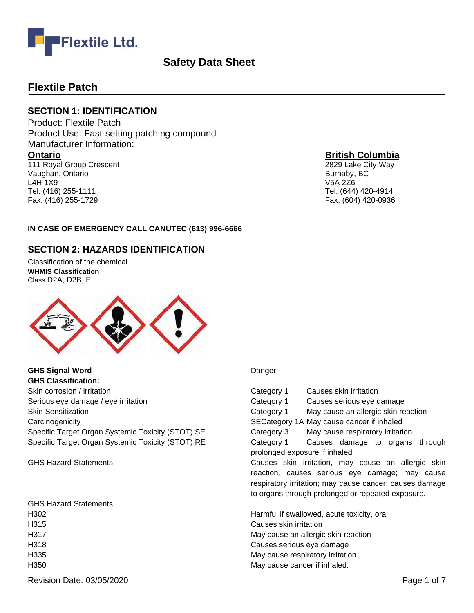

## **Flextile Patch**

Fax: (416) 255-1729

#### **SECTION 1: IDENTIFICATION**

Product: Flextile Patch Product Use: Fast-setting patching compound Manufacturer Information: **Ontario** 111 Royal Group Crescent Vaughan, Ontario L4H 1X9 Tel: (416) 255-1111

#### **British Columbia**

2829 Lake City Way Burnaby, BC V5A 2Z6 Tel: (644) 420-4914 Fax: (604) 420-0936

#### **IN CASE OF EMERGENCY CALL CANUTEC (613) 996-6666**

#### **SECTION 2: HAZARDS IDENTIFICATION**

Classification of the chemical **WHMIS Classification**  Class D2A, D2B, E



**GHS Signal Word** Danger **GHS Classification:** Skin corrosion / irritation Category 1 Causes skin irritation Category 1 Causes skin irritation Serious eye damage / eye irritation **Causes Serious exercises** Category 1 Causes serious eye damage Carcinogenicity SECategory 1A May cause cancer if inhaled Specific Target Organ Systemic Toxicity (STOT) SE Category 3 May cause respiratory irritation

GHS Hazard Statements H315 Causes skin irritation H335 May cause respiratory irritation. H350 May cause cancer if inhaled.

Skin Sensitization **Category 1** May cause an allergic skin reaction Specific Target Organ Systemic Toxicity (STOT) RE Category 1 Causes damage to organs through prolonged exposure if inhaled GHS Hazard Statements **Causes Skin irritation, may cause an allergic skin** irritation, may cause an allergic skin reaction, causes serious eye damage; may cause respiratory irritation; may cause cancer; causes damage to organs through prolonged or repeated exposure. H302 Harmful if swallowed, acute toxicity, oral H317 May cause an allergic skin reaction H318 Causes serious eye damage

Revision Date: 03/05/2020 **Page 1 of 7** Page 1 of 7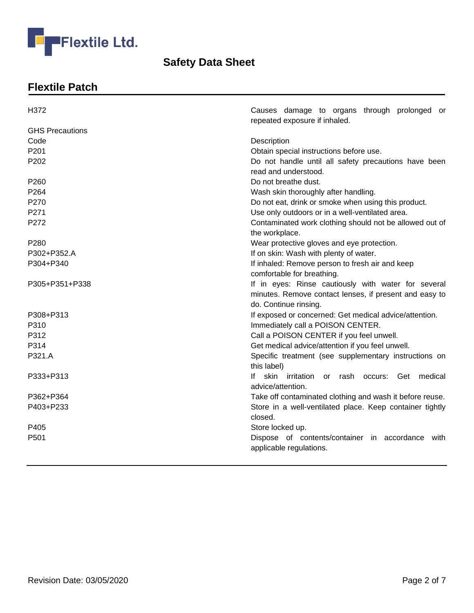

# **Flextile Patch**

| H372                   | Causes damage to organs through prolonged or<br>repeated exposure if inhaled.                                                          |
|------------------------|----------------------------------------------------------------------------------------------------------------------------------------|
| <b>GHS Precautions</b> |                                                                                                                                        |
| Code                   | Description                                                                                                                            |
| P201                   | Obtain special instructions before use.                                                                                                |
| P202                   | Do not handle until all safety precautions have been<br>read and understood.                                                           |
| P260                   | Do not breathe dust.                                                                                                                   |
| P264                   | Wash skin thoroughly after handling.                                                                                                   |
| P270                   | Do not eat, drink or smoke when using this product.                                                                                    |
| P271                   | Use only outdoors or in a well-ventilated area.                                                                                        |
| P272                   | Contaminated work clothing should not be allowed out of<br>the workplace.                                                              |
| P <sub>280</sub>       | Wear protective gloves and eye protection.                                                                                             |
| P302+P352.A            | If on skin: Wash with plenty of water.                                                                                                 |
| P304+P340              | If inhaled: Remove person to fresh air and keep<br>comfortable for breathing.                                                          |
| P305+P351+P338         | If in eyes: Rinse cautiously with water for several<br>minutes. Remove contact lenses, if present and easy to<br>do. Continue rinsing. |
| P308+P313              | If exposed or concerned: Get medical advice/attention.                                                                                 |
| P310                   | Immediately call a POISON CENTER.                                                                                                      |
| P312                   | Call a POISON CENTER if you feel unwell.                                                                                               |
| P314                   | Get medical advice/attention if you feel unwell.                                                                                       |
| P321.A                 | Specific treatment (see supplementary instructions on<br>this label)                                                                   |
| P333+P313              | lf.<br>skin irritation or rash occurs: Get medical<br>advice/attention.                                                                |
| P362+P364              | Take off contaminated clothing and wash it before reuse.                                                                               |
| P403+P233              | Store in a well-ventilated place. Keep container tightly                                                                               |
|                        | closed.                                                                                                                                |
| P405                   | Store locked up.                                                                                                                       |
| P <sub>501</sub>       | Dispose of contents/container in accordance with                                                                                       |
|                        | applicable regulations.                                                                                                                |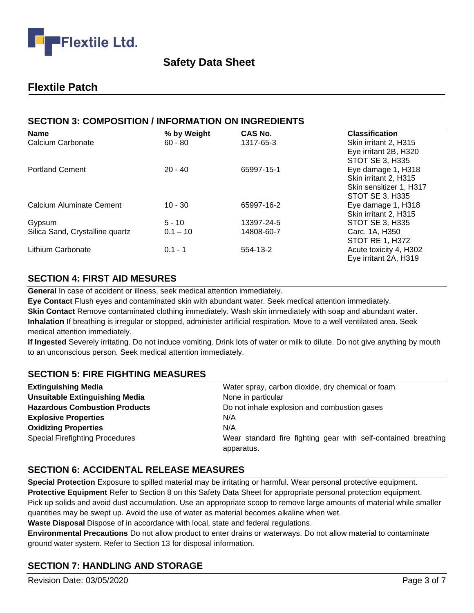

## **Flextile Patch**

## **SECTION 3: COMPOSITION / INFORMATION ON INGREDIENTS**

| <b>Name</b>                     | % by Weight | CAS No.    | <b>Classification</b>   |
|---------------------------------|-------------|------------|-------------------------|
| Calcium Carbonate               | $60 - 80$   | 1317-65-3  | Skin irritant 2, H315   |
|                                 |             |            | Eye irritant 2B, H320   |
|                                 |             |            | STOT SE 3, H335         |
| <b>Portland Cement</b>          | $20 - 40$   | 65997-15-1 | Eye damage 1, H318      |
|                                 |             |            | Skin irritant 2, H315   |
|                                 |             |            | Skin sensitizer 1, H317 |
|                                 |             |            | STOT SE 3, H335         |
| Calcium Aluminate Cement        | $10 - 30$   | 65997-16-2 | Eye damage 1, H318      |
|                                 |             |            | Skin irritant 2, H315   |
| Gypsum                          | $5 - 10$    | 13397-24-5 | <b>STOT SE 3, H335</b>  |
| Silica Sand, Crystalline quartz | $0.1 - 10$  | 14808-60-7 | Carc. 1A, H350          |
|                                 |             |            | <b>STOT RE 1, H372</b>  |
| Lithium Carbonate               | $0.1 - 1$   | 554-13-2   | Acute toxicity 4, H302  |
|                                 |             |            | Eye irritant 2A, H319   |

## **SECTION 4: FIRST AID MESURES**

**General** In case of accident or illness, seek medical attention immediately.

**Eye Contact** Flush eyes and contaminated skin with abundant water. Seek medical attention immediately. **Skin Contact** Remove contaminated clothing immediately. Wash skin immediately with soap and abundant water. **Inhalation** If breathing is irregular or stopped, administer artificial respiration. Move to a well ventilated area. Seek medical attention immediately.

**If Ingested** Severely irritating. Do not induce vomiting. Drink lots of water or milk to dilute. Do not give anything by mouth to an unconscious person. Seek medical attention immediately.

## **SECTION 5: FIRE FIGHTING MEASURES**

| <b>Extinguishing Media</b>             | Water spray, carbon dioxide, dry chemical or foam              |
|----------------------------------------|----------------------------------------------------------------|
| <b>Unsuitable Extinguishing Media</b>  | None in particular                                             |
| <b>Hazardous Combustion Products</b>   | Do not inhale explosion and combustion gases                   |
| <b>Explosive Properties</b>            | N/A                                                            |
| <b>Oxidizing Properties</b>            | N/A                                                            |
| <b>Special Firefighting Procedures</b> | Wear standard fire fighting gear with self-contained breathing |
|                                        | apparatus.                                                     |

## **SECTION 6: ACCIDENTAL RELEASE MEASURES**

**Special Protection** Exposure to spilled material may be irritating or harmful. Wear personal protective equipment. **Protective Equipment** Refer to Section 8 on this Safety Data Sheet for appropriate personal protection equipment. Pick up solids and avoid dust accumulation. Use an appropriate scoop to remove large amounts of material while smaller quantities may be swept up. Avoid the use of water as material becomes alkaline when wet.

**Waste Disposal** Dispose of in accordance with local, state and federal regulations.

**Environmental Precautions** Do not allow product to enter drains or waterways. Do not allow material to contaminate ground water system. Refer to Section 13 for disposal information.

## **SECTION 7: HANDLING AND STORAGE**

Revision Date: 03/05/2020 **Page 3 of 7** and 2011 **Page 3 of 7** and 2011 **Page 3 of 7** and 2012 **Page 3 of 7**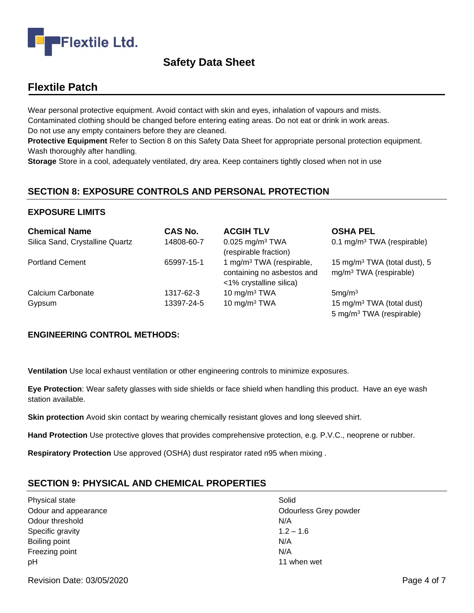

# **Flextile Patch**

Wear personal protective equipment. Avoid contact with skin and eyes, inhalation of vapours and mists. Contaminated clothing should be changed before entering eating areas. Do not eat or drink in work areas. Do not use any empty containers before they are cleaned.

**Protective Equipment** Refer to Section 8 on this Safety Data Sheet for appropriate personal protection equipment. Wash thoroughly after handling.

**Storage** Store in a cool, adequately ventilated, dry area. Keep containers tightly closed when not in use

## **SECTION 8: EXPOSURE CONTROLS AND PERSONAL PROTECTION**

#### **EXPOSURE LIMITS**

| <b>Chemical Name</b>            | <b>CAS No.</b> | <b>ACGIH TLV</b>                                                                              | <b>OSHA PEL</b>                                                               |
|---------------------------------|----------------|-----------------------------------------------------------------------------------------------|-------------------------------------------------------------------------------|
| Silica Sand, Crystalline Quartz | 14808-60-7     | $0.025$ mg/m <sup>3</sup> TWA<br>(respirable fraction)                                        | 0.1 mg/m <sup>3</sup> TWA (respirable)                                        |
| <b>Portland Cement</b>          | 65997-15-1     | 1 mg/m <sup>3</sup> TWA (respirable,<br>containing no asbestos and<br><1% crystalline silica) | 15 mg/m <sup>3</sup> TWA (total dust), 5<br>$mg/m3 TWA$ (respirable)          |
| Calcium Carbonate               | 1317-62-3      | 10 mg/m $3$ TWA                                                                               | 5mg/m <sup>3</sup>                                                            |
| Gypsum                          | 13397-24-5     | 10 mg/m $3$ TWA                                                                               | 15 mg/m <sup>3</sup> TWA (total dust)<br>5 mg/m <sup>3</sup> TWA (respirable) |

#### **ENGINEERING CONTROL METHODS:**

**Ventilation** Use local exhaust ventilation or other engineering controls to minimize exposures.

**Eye Protection**: Wear safety glasses with side shields or face shield when handling this product. Have an eye wash station available.

**Skin protection** Avoid skin contact by wearing chemically resistant gloves and long sleeved shirt.

**Hand Protection** Use protective gloves that provides comprehensive protection, e.g. P.V.C., neoprene or rubber.

**Respiratory Protection** Use approved (OSHA) dust respirator rated n95 when mixing .

## **SECTION 9: PHYSICAL AND CHEMICAL PROPERTIES**

Physical state Solid Odour threshold N/A Specific gravity 1.2 – 1.6 Boiling point N/A Freezing point N/A pH 11 when wet

Odour and appearance **Odourless** Grey powder

Revision Date: 03/05/2020 **Page 4 of 7** Page 4 of 7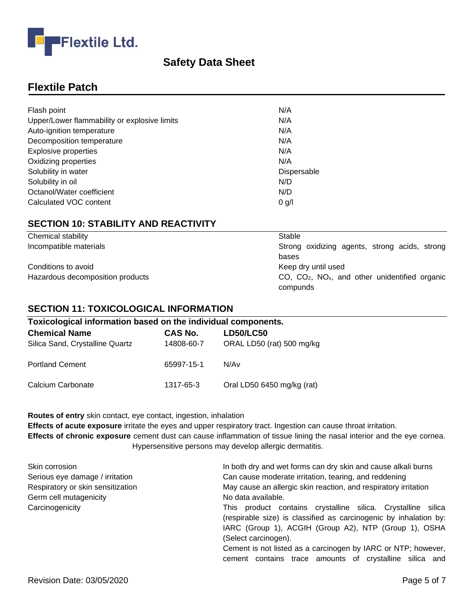

# **Flextile Patch**

| Flash point                                  | N/A         |
|----------------------------------------------|-------------|
| Upper/Lower flammability or explosive limits | N/A         |
| Auto-ignition temperature                    | N/A         |
| Decomposition temperature                    | N/A         |
| <b>Explosive properties</b>                  | N/A         |
| Oxidizing properties                         | N/A         |
| Solubility in water                          | Dispersable |
| Solubility in oil                            | N/D         |
| Octanol/Water coefficient                    | N/D         |
| Calculated VOC content                       | $0$ g/l     |

## **SECTION 10: STABILITY AND REACTIVITY**

| Chemical stability               | Stable                                                            |
|----------------------------------|-------------------------------------------------------------------|
| Incompatible materials           | Strong oxidizing agents, strong acids, strong                     |
|                                  | bases                                                             |
| Conditions to avoid              | Keep dry until used                                               |
| Hazardous decomposition products | $CO$ , $CO2$ , $NOx$ , and other unidentified organic<br>compunds |

#### **SECTION 11: TOXICOLOGICAL INFORMATION**

| Toxicological information based on the individual components. |                |                            |
|---------------------------------------------------------------|----------------|----------------------------|
| <b>Chemical Name</b>                                          | <b>CAS No.</b> | <b>LD50/LC50</b>           |
| Silica Sand, Crystalline Quartz                               | 14808-60-7     | ORAL LD50 (rat) 500 mg/kg  |
| <b>Portland Cement</b>                                        | 65997-15-1     | N/Av                       |
| Calcium Carbonate                                             | 1317-65-3      | Oral LD50 6450 mg/kg (rat) |

**Routes of entry** skin contact, eye contact, ingestion, inhalation

**Effects of acute exposure** irritate the eyes and upper respiratory tract. Ingestion can cause throat irritation. **Effects of chronic exposure** cement dust can cause inflammation of tissue lining the nasal interior and the eye cornea. Hypersensitive persons may develop allergic dermatitis.

| Skin corrosion                    | In both dry and wet forms can dry skin and cause alkali burns     |
|-----------------------------------|-------------------------------------------------------------------|
| Serious eye damage / irritation   | Can cause moderate irritation, tearing, and reddening             |
| Respiratory or skin sensitization | May cause an allergic skin reaction, and respiratory irritation   |
| Germ cell mutagenicity            | No data available.                                                |
| Carcinogenicity                   | This product contains crystalline silica. Crystalline silica      |
|                                   | (respirable size) is classified as carcinogenic by inhalation by: |
|                                   | IARC (Group 1), ACGIH (Group A2), NTP (Group 1), OSHA             |
|                                   | (Select carcinogen).                                              |
|                                   | Cement is not listed as a carcinogen by IARC or NTP; however,     |
|                                   | cement contains trace amounts of crystalline silica and           |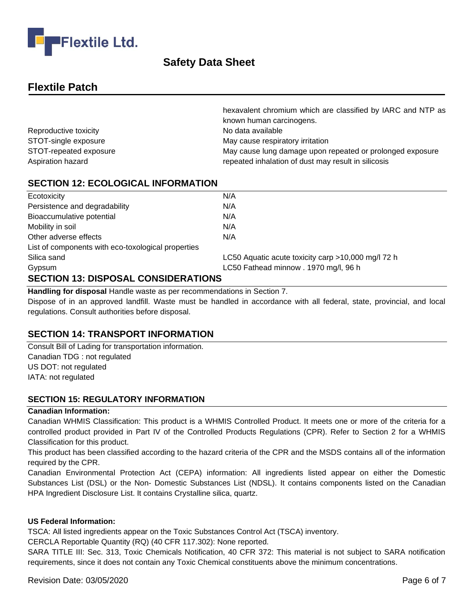

# **Flextile Patch**

|                        | hexavalent chromium which are classified by IARC and NTP as |
|------------------------|-------------------------------------------------------------|
|                        | known human carcinogens.                                    |
| Reproductive toxicity  | No data available                                           |
| STOT-single exposure   | May cause respiratory irritation                            |
| STOT-repeated exposure | May cause lung damage upon repeated or prolonged exposure   |
| Aspiration hazard      | repeated inhalation of dust may result in silicosis         |

#### **SECTION 12: ECOLOGICAL INFORMATION**

| Ecotoxicity                                        | N/A                                                |
|----------------------------------------------------|----------------------------------------------------|
| Persistence and degradability                      | N/A                                                |
| Bioaccumulative potential                          | N/A                                                |
| Mobility in soil                                   | N/A                                                |
| Other adverse effects                              | N/A                                                |
| List of components with eco-toxological properties |                                                    |
| Silica sand                                        | LC50 Aquatic acute toxicity carp >10,000 mg/l 72 h |
| Gypsum                                             | LC50 Fathead minnow . 1970 mg/l, 96 h              |
| <b>SECTION 13: DISPOSAL CONSIDERATIONS</b>         |                                                    |

# **Handling for disposal** Handle waste as per recommendations in Section 7.

Dispose of in an approved landfill. Waste must be handled in accordance with all federal, state, provincial, and local regulations. Consult authorities before disposal.

## **SECTION 14: TRANSPORT INFORMATION**

Consult Bill of Lading for transportation information. Canadian TDG : not regulated US DOT: not regulated IATA: not regulated

#### **SECTION 15: REGULATORY INFORMATION**

#### **Canadian Information:**

Canadian WHMIS Classification: This product is a WHMIS Controlled Product. It meets one or more of the criteria for a controlled product provided in Part IV of the Controlled Products Regulations (CPR). Refer to Section 2 for a WHMIS Classification for this product.

This product has been classified according to the hazard criteria of the CPR and the MSDS contains all of the information required by the CPR.

Canadian Environmental Protection Act (CEPA) information: All ingredients listed appear on either the Domestic Substances List (DSL) or the Non- Domestic Substances List (NDSL). It contains components listed on the Canadian HPA Ingredient Disclosure List. It contains Crystalline silica, quartz.

#### **US Federal Information:**

TSCA: All listed ingredients appear on the Toxic Substances Control Act (TSCA) inventory.

CERCLA Reportable Quantity (RQ) (40 CFR 117.302): None reported.

SARA TITLE III: Sec. 313, Toxic Chemicals Notification, 40 CFR 372: This material is not subject to SARA notification requirements, since it does not contain any Toxic Chemical constituents above the minimum concentrations.